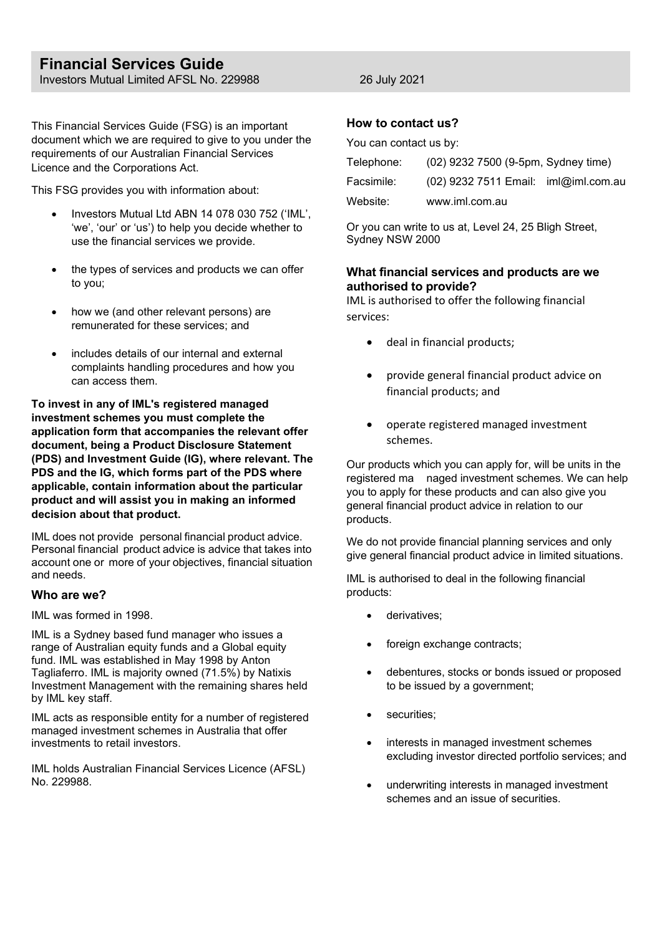# **Financial Services Guide** Investors Mutual Limited AFSL No. 229988 26 July 2021

This Financial Services Guide (FSG) is an important document which we are required to give to you under the requirements of our Australian Financial Services Licence and the Corporations Act.

This FSG provides you with information about:

- Investors Mutual Ltd ABN 14 078 030 752 ('IML', 'we', 'our' or 'us') to help you decide whether to use the financial services we provide.
- the types of services and products we can offer to you;
- how we (and other relevant persons) are remunerated for these services; and
- includes details of our internal and external complaints handling procedures and how you can access them.

**To invest in any of IML's registered managed investment schemes you must complete the application form that accompanies the relevant offer document, being a Product Disclosure Statement (PDS) and Investment Guide (IG), where relevant. The PDS and the IG, which forms part of the PDS where applicable, contain information about the particular product and will assist you in making an informed decision about that product.**

IML does not provide personal financial product advice. Personal financial product advice is advice that takes into account one or more of your objectives, financial situation and needs.

## **Who are we?**

IML was formed in 1998.

IML is a Sydney based fund manager who issues a range of Australian equity funds and a Global equity fund. IML was established in May 1998 by Anton Tagliaferro. IML is majority owned (71.5%) by Natixis Investment Management with the remaining shares held by IML key staff.

IML acts as responsible entity for a number of registered managed investment schemes in Australia that offer investments to retail investors.

IML holds Australian Financial Services Licence (AFSL) No. 229988.

## **How to contact us?**

You can contact us by:

| Telephone: | (02) 9232 7500 (9-5pm, Sydney time)  |  |
|------------|--------------------------------------|--|
| Facsimile: | (02) 9232 7511 Email: iml@iml.com.au |  |
| Website:   | www.iml.com.au                       |  |

Or you can write to us at, Level 24, 25 Bligh Street, Sydney NSW 2000

## **What financial services and products are we authorised to provide?**

IML is authorised to offer the following financial services:

- deal in financial products;
- provide general financial product advice on financial products; and
- operate registered managed investment schemes.

Our products which you can apply for, will be units in the registered ma naged investment schemes. We can help you to apply for these products and can also give you general financial product advice in relation to our products.

We do not provide financial planning services and only give general financial product advice in limited situations.

IML is authorised to deal in the following financial products:

- derivatives:
- foreign exchange contracts;
- debentures, stocks or bonds issued or proposed to be issued by a government;
- securities;
- interests in managed investment schemes excluding investor directed portfolio services; and
- underwriting interests in managed investment schemes and an issue of securities.